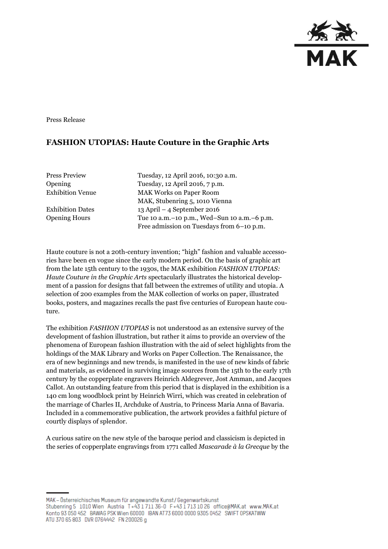

Press Release

## **FASHION UTOPIAS: Haute Couture in the Graphic Arts**

Press Preview Tuesday, 12 April 2016, 10:30 a.m. Opening Tuesday, 12 April 2016, 7 p.m. Exhibition Venue MAK Works on Paper Room MAK, Stubenring 5, 1010 Vienna Exhibition Dates 13 April – 4 September 2016 Opening Hours Tue 10 a.m.–10 p.m., Wed–Sun 10 a.m.–6 p.m. Free admission on Tuesdays from 6–10 p.m.

Haute couture is not a 20th-century invention; "high" fashion and valuable accessories have been en vogue since the early modern period. On the basis of graphic art from the late 15th century to the 1930s, the MAK exhibition *FASHION UTOPIAS: Haute Couture in the Graphic Arts* spectacularly illustrates the historical development of a passion for designs that fall between the extremes of utility and utopia. A selection of 200 examples from the MAK collection of works on paper, illustrated books, posters, and magazines recalls the past five centuries of European haute couture.

The exhibition *FASHION UTOPIAS* is not understood as an extensive survey of the development of fashion illustration, but rather it aims to provide an overview of the phenomena of European fashion illustration with the aid of select highlights from the holdings of the MAK Library and Works on Paper Collection. The Renaissance, the era of new beginnings and new trends, is manifested in the use of new kinds of fabric and materials, as evidenced in surviving image sources from the 15th to the early 17th century by the copperplate engravers Heinrich Aldegrever, Jost Amman, and Jacques Callot. An outstanding feature from this period that is displayed in the exhibition is a 140 cm long woodblock print by Heinrich Wirri, which was created in celebration of the marriage of Charles II, Archduke of Austria, to Princess Maria Anna of Bavaria. Included in a commemorative publication, the artwork provides a faithful picture of courtly displays of splendor.

A curious satire on the new style of the baroque period and classicism is depicted in the series of copperplate engravings from 1771 called *Mascarade à la Grecque* by the

MAK - Österreichisches Museum für angewandte Kunst / Gegenwartskunst Stubenring 5 1010 Wien Austria T+43 1711 36-0 F+43 1713 10 26 office@MAK.at www.MAK.at Konto 93 050 452 BAWAG PSK Wien 60000 BAN AT73 6000 0000 9305 0452 SWIFT OPSKATWW ATU 370 65 803 DVR 0764442 FN 200026 g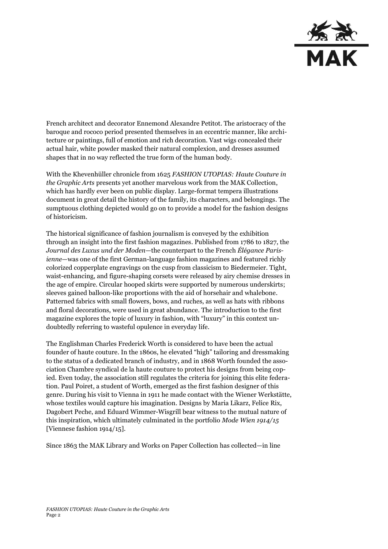

French architect and decorator Ennemond Alexandre Petitot. The aristocracy of the baroque and rococo period presented themselves in an eccentric manner, like architecture or paintings, full of emotion and rich decoration. Vast wigs concealed their actual hair, white powder masked their natural complexion, and dresses assumed shapes that in no way reflected the true form of the human body.

With the Khevenhüller chronicle from 1625 *FASHION UTOPIAS: Haute Couture in the Graphic Arts* presents yet another marvelous work from the MAK Collection, which has hardly ever been on public display. Large-format tempera illustrations document in great detail the history of the family, its characters, and belongings. The sumptuous clothing depicted would go on to provide a model for the fashion designs of historicism.

The historical significance of fashion journalism is conveyed by the exhibition through an insight into the first fashion magazines. Published from 1786 to 1827, the *Journal des Luxus und der Moden*—the counterpart to the French *Élégance Parisienne*—was one of the first German-language fashion magazines and featured richly colorized copperplate engravings on the cusp from classicism to Biedermeier. Tight, waist-enhancing, and figure-shaping corsets were released by airy chemise dresses in the age of empire. Circular hooped skirts were supported by numerous underskirts; sleeves gained balloon-like proportions with the aid of horsehair and whalebone. Patterned fabrics with small flowers, bows, and ruches, as well as hats with ribbons and floral decorations, were used in great abundance. The introduction to the first magazine explores the topic of luxury in fashion, with "luxury" in this context undoubtedly referring to wasteful opulence in everyday life.

The Englishman Charles Frederick Worth is considered to have been the actual founder of haute couture. In the 1860s, he elevated "high" tailoring and dressmaking to the status of a dedicated branch of industry, and in 1868 Worth founded the association Chambre syndical de la haute couture to protect his designs from being copied. Even today, the association still regulates the criteria for joining this elite federation. Paul Poiret, a student of Worth, emerged as the first fashion designer of this genre. During his visit to Vienna in 1911 he made contact with the Wiener Werkstätte, whose textiles would capture his imagination. Designs by Maria Likarz, Felice Rix, Dagobert Peche, and Eduard Wimmer-Wisgrill bear witness to the mutual nature of this inspiration, which ultimately culminated in the portfolio *Mode Wien 1914/15* [Viennese fashion 1914/15].

Since 1863 the MAK Library and Works on Paper Collection has collected—in line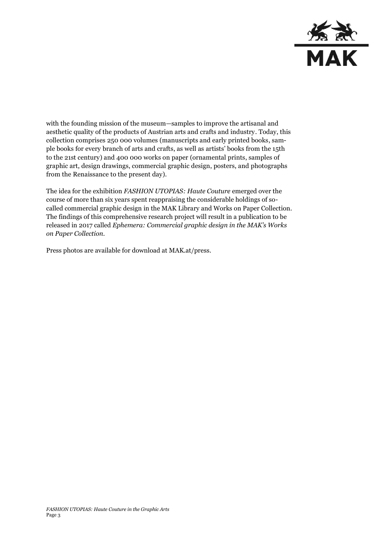

with the founding mission of the museum—samples to improve the artisanal and aesthetic quality of the products of Austrian arts and crafts and industry. Today, this collection comprises 250 000 volumes (manuscripts and early printed books, sample books for every branch of arts and crafts, as well as artists' books from the 15th to the 21st century) and 400 000 works on paper (ornamental prints, samples of graphic art, design drawings, commercial graphic design, posters, and photographs from the Renaissance to the present day).

The idea for the exhibition *FASHION UTOPIAS: Haute Couture* emerged over the course of more than six years spent reappraising the considerable holdings of socalled commercial graphic design in the MAK Library and Works on Paper Collection. The findings of this comprehensive research project will result in a publication to be released in 2017 called *Ephemera: Commercial graphic design in the MAK's Works on Paper Collection*.

Press photos are available for download at MAK.at/press.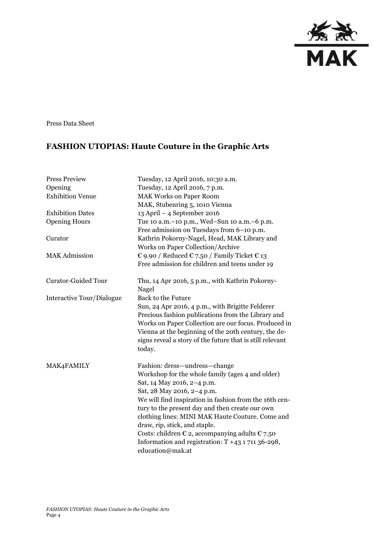

Press Data Sheet

## **FASHION UTOPIAS: Haute Couture in the Graphic Arts**

| <b>Press Preview</b>       | Tuesday, 12 April 2016, 10:30 a.m.                                                                                                                                                                                                                                                            |
|----------------------------|-----------------------------------------------------------------------------------------------------------------------------------------------------------------------------------------------------------------------------------------------------------------------------------------------|
| Opening                    | Tuesday, 12 April 2016, 7 p.m.                                                                                                                                                                                                                                                                |
| <b>Exhibition Venue</b>    | <b>MAK Works on Paper Room</b>                                                                                                                                                                                                                                                                |
|                            | MAK, Stubenring 5, 1010 Vienna                                                                                                                                                                                                                                                                |
| <b>Exhibition Dates</b>    | $13$ April – 4 September 2016                                                                                                                                                                                                                                                                 |
| <b>Opening Hours</b>       | Tue 10 a.m. - 10 p.m., Wed-Sun 10 a.m. - 6 p.m.                                                                                                                                                                                                                                               |
|                            | Free admission on Tuesdays from 6-10 p.m.                                                                                                                                                                                                                                                     |
| Curator                    | Kathrin Pokorny-Nagel, Head, MAK Library and                                                                                                                                                                                                                                                  |
|                            | Works on Paper Collection/Archive                                                                                                                                                                                                                                                             |
| <b>MAK Admission</b>       | € 9.90 / Reduced € 7.50 / Family Ticket € 13                                                                                                                                                                                                                                                  |
|                            | Free admission for children and teens under 19                                                                                                                                                                                                                                                |
| <b>Curator-Guided Tour</b> | Thu, 14 Apr 2016, 5 p.m., with Kathrin Pokorny-<br>Nagel                                                                                                                                                                                                                                      |
| Interactive Tour/Dialogue  | <b>Back to the Future</b>                                                                                                                                                                                                                                                                     |
|                            | Sun, 24 Apr 2016, 4 p.m., with Brigitte Felderer<br>Precious fashion publications from the Library and<br>Works on Paper Collection are our focus. Produced in<br>Vienna at the beginning of the 20th century, the de-<br>signs reveal a story of the future that is still relevant<br>today. |
| MAK4FAMILY                 | Fashion: dress-undress-change                                                                                                                                                                                                                                                                 |
|                            | Workshop for the whole family (ages 4 and older)                                                                                                                                                                                                                                              |
|                            | Sat, 14 May 2016, 2-4 p.m.                                                                                                                                                                                                                                                                    |
|                            | Sat, 28 May 2016, 2-4 p.m.                                                                                                                                                                                                                                                                    |
|                            | We will find inspiration in fashion from the 16th cen-                                                                                                                                                                                                                                        |
|                            | tury to the present day and then create our own                                                                                                                                                                                                                                               |
|                            | clothing lines: MINI MAK Haute Couture. Come and                                                                                                                                                                                                                                              |
|                            | draw, rip, stick, and staple.                                                                                                                                                                                                                                                                 |
|                            | Costs: children $\epsilon$ 2, accompanying adults $\epsilon$ 7.50                                                                                                                                                                                                                             |
|                            | Information and registration: T +43 1 711 36-298,                                                                                                                                                                                                                                             |
|                            | education@mak.at                                                                                                                                                                                                                                                                              |